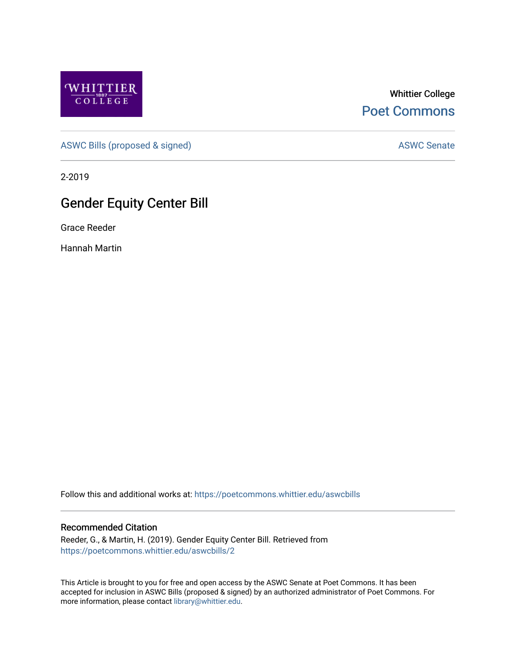

Whittier College [Poet Commons](https://poetcommons.whittier.edu/) 

[ASWC Bills \(proposed & signed\)](https://poetcommons.whittier.edu/aswcbills) ASWC Senate

2-2019

## Gender Equity Center Bill

Grace Reeder

Hannah Martin

Follow this and additional works at: [https://poetcommons.whittier.edu/aswcbills](https://poetcommons.whittier.edu/aswcbills?utm_source=poetcommons.whittier.edu%2Faswcbills%2F2&utm_medium=PDF&utm_campaign=PDFCoverPages) 

## Recommended Citation

Reeder, G., & Martin, H. (2019). Gender Equity Center Bill. Retrieved from [https://poetcommons.whittier.edu/aswcbills/2](https://poetcommons.whittier.edu/aswcbills/2?utm_source=poetcommons.whittier.edu%2Faswcbills%2F2&utm_medium=PDF&utm_campaign=PDFCoverPages) 

This Article is brought to you for free and open access by the ASWC Senate at Poet Commons. It has been accepted for inclusion in ASWC Bills (proposed & signed) by an authorized administrator of Poet Commons. For more information, please contact [library@whittier.edu.](mailto:library@whittier.edu)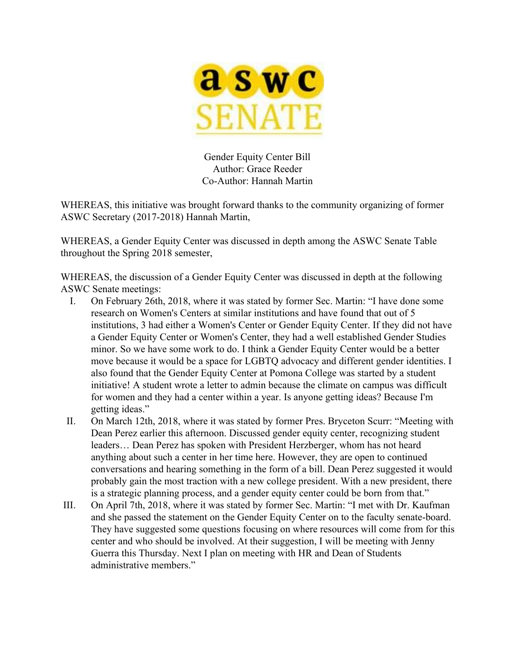

Gender Equity Center Bill Author: Grace Reeder Co-Author: Hannah Martin

WHEREAS, this initiative was brought forward thanks to the community organizing of former ASWC Secretary (2017-2018) Hannah Martin,

WHEREAS, a Gender Equity Center was discussed in depth among the ASWC Senate Table throughout the Spring 2018 semester,

WHEREAS, the discussion of a Gender Equity Center was discussed in depth at the following ASWC Senate meetings:

- I. On February 26th, 2018, where it was stated by former Sec. Martin: "I have done some research on Women's Centers at similar institutions and have found that out of 5 institutions, 3 had either a Women's Center or Gender Equity Center. If they did not have a Gender Equity Center or Women's Center, they had a well established Gender Studies minor. So we have some work to do. I think a Gender Equity Center would be a better move because it would be a space for LGBTQ advocacy and different gender identities. I also found that the Gender Equity Center at Pomona College was started by a student initiative! A student wrote a letter to admin because the climate on campus was difficult for women and they had a center within a year. Is anyone getting ideas? Because I'm getting ideas."
- II. On March 12th, 2018, where it was stated by former Pres. Bryceton Scurr: "Meeting with Dean Perez earlier this afternoon. Discussed gender equity center, recognizing student leaders… Dean Perez has spoken with President Herzberger, whom has not heard anything about such a center in her time here. However, they are open to continued conversations and hearing something in the form of a bill. Dean Perez suggested it would probably gain the most traction with a new college president. With a new president, there is a strategic planning process, and a gender equity center could be born from that."
- III. On April 7th, 2018, where it was stated by former Sec. Martin: "I met with Dr. Kaufman and she passed the statement on the Gender Equity Center on to the faculty senate-board. They have suggested some questions focusing on where resources will come from for this center and who should be involved. At their suggestion, I will be meeting with Jenny Guerra this Thursday. Next I plan on meeting with HR and Dean of Students administrative members."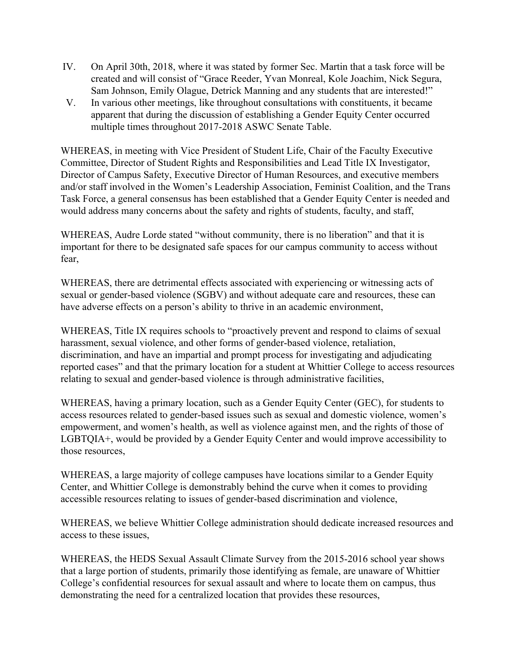- IV. On April 30th, 2018, where it was stated by former Sec. Martin that a task force will be created and will consist of "Grace Reeder, Yvan Monreal, Kole Joachim, Nick Segura, Sam Johnson, Emily Olague, Detrick Manning and any students that are interested!"
- V. In various other meetings, like throughout consultations with constituents, it became apparent that during the discussion of establishing a Gender Equity Center occurred multiple times throughout 2017-2018 ASWC Senate Table.

WHEREAS, in meeting with Vice President of Student Life, Chair of the Faculty Executive Committee, Director of Student Rights and Responsibilities and Lead Title IX Investigator, Director of Campus Safety, Executive Director of Human Resources, and executive members and/or staff involved in the Women's Leadership Association, Feminist Coalition, and the Trans Task Force, a general consensus has been established that a Gender Equity Center is needed and would address many concerns about the safety and rights of students, faculty, and staff,

WHEREAS, Audre Lorde stated "without community, there is no liberation" and that it is important for there to be designated safe spaces for our campus community to access without fear,

WHEREAS, there are detrimental effects associated with experiencing or witnessing acts of sexual or gender-based violence (SGBV) and without adequate care and resources, these can have adverse effects on a person's ability to thrive in an academic environment,

WHEREAS, Title IX requires schools to "proactively prevent and respond to claims of sexual harassment, sexual violence, and other forms of gender-based violence, retaliation, discrimination, and have an impartial and prompt process for investigating and adjudicating reported cases" and that the primary location for a student at Whittier College to access resources relating to sexual and gender-based violence is through administrative facilities,

WHEREAS, having a primary location, such as a Gender Equity Center (GEC), for students to access resources related to gender-based issues such as sexual and domestic violence, women's empowerment, and women's health, as well as violence against men, and the rights of those of LGBTQIA+, would be provided by a Gender Equity Center and would improve accessibility to those resources,

WHEREAS, a large majority of college campuses have locations similar to a Gender Equity Center, and Whittier College is demonstrably behind the curve when it comes to providing accessible resources relating to issues of gender-based discrimination and violence,

WHEREAS, we believe Whittier College administration should dedicate increased resources and access to these issues,

WHEREAS, the HEDS Sexual Assault Climate Survey from the 2015-2016 school year shows that a large portion of students, primarily those identifying as female, are unaware of Whittier College's confidential resources for sexual assault and where to locate them on campus, thus demonstrating the need for a centralized location that provides these resources,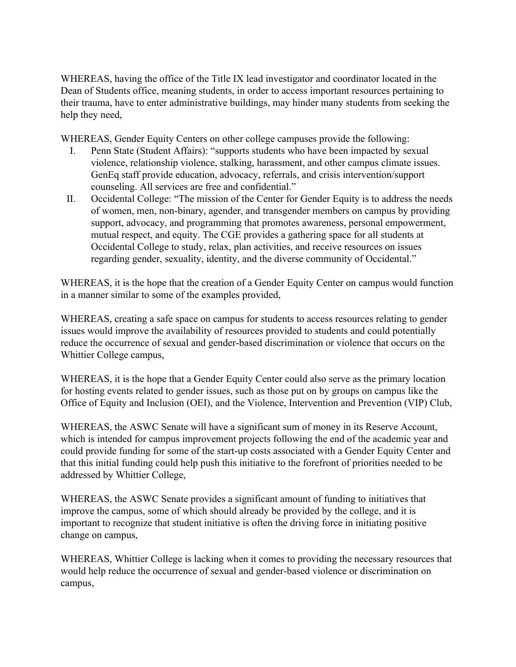WHEREAS, having the office of the Title IX lead investigator and coordinator located in the Dean of Students office, meaning students, in order to access important resources pertaining to their trauma, have to enter administrative buildings, may hinder many students from seeking the help they need,

WHEREAS, Gender Equity Centers on other college campuses provide the following:

- I. Penn State (Student Affairs): "supports students who have been impacted by sexual violence, relationship violence, stalking, harassment, and other campus climate issues. GenEq staff provide education, advocacy, referrals, and crisis intervention/support counseling. All services are free and confidential."
- II. Occidental College: "The mission of the Center for Gender Equity is to address the needs of women, men, non-binary, agender, and transgender members on campus by providing support, advocacy, and programming that promotes awareness, personal empowerment, mutual respect, and equity. The CGE provides a gathering space for all students at Occidental College to study, relax, plan activities, and receive resources on issues regarding gender, sexuality, identity, and the diverse community of Occidental."

WHEREAS, it is the hope that the creation of a Gender Equity Center on campus would function in a manner similar to some of the examples provided,

WHEREAS, creating a safe space on campus for students to access resources relating to gender issues would improve the availability of resources provided to students and could potentially reduce the occurrence of sexual and gender-based discrimination or violence that occurs on the Whittier College campus,

WHEREAS, it is the hope that a Gender Equity Center could also serve as the primary location for hosting events related to gender issues, such as those put on by groups on campus like the Office of Equity and Inclusion (OEI), and the Violence, Intervention and Prevention (VIP) Club,

WHEREAS, the ASWC Senate will have a significant sum of money in its Reserve Account, which is intended for campus improvement projects following the end of the academic year and could provide funding for some of the start-up costs associated with a Gender Equity Center and that this initial funding could help push this initiative to the forefront of priorities needed to be addressed by Whittier College,

WHEREAS, the ASWC Senate provides a significant amount of funding to initiatives that improve the campus, some of which should already be provided by the college, and it is important to recognize that student initiative is often the driving force in initiating positive change on campus,

WHEREAS, Whittier College is lacking when it comes to providing the necessary resources that would help reduce the occurrence of sexual and gender-based violence or discrimination on campus,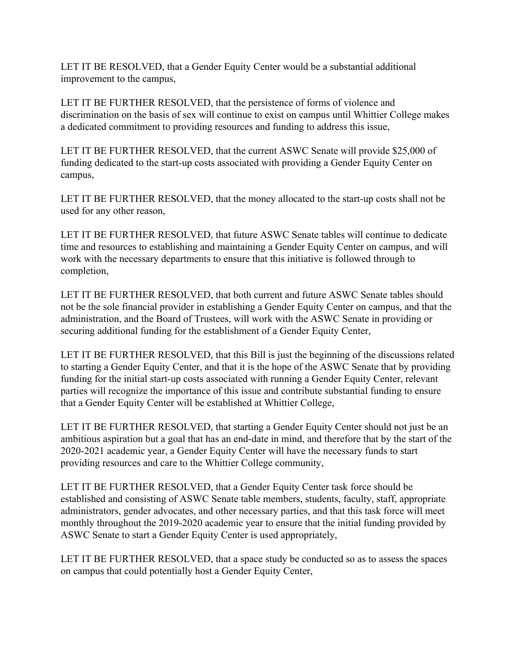LET IT BE RESOLVED, that a Gender Equity Center would be a substantial additional improvement to the campus,

LET IT BE FURTHER RESOLVED, that the persistence of forms of violence and discrimination on the basis of sex will continue to exist on campus until Whittier College makes a dedicated commitment to providing resources and funding to address this issue,

LET IT BE FURTHER RESOLVED, that the current ASWC Senate will provide \$25,000 of funding dedicated to the start-up costs associated with providing a Gender Equity Center on campus,

LET IT BE FURTHER RESOLVED, that the money allocated to the start-up costs shall not be used for any other reason,

LET IT BE FURTHER RESOLVED, that future ASWC Senate tables will continue to dedicate time and resources to establishing and maintaining a Gender Equity Center on campus, and will work with the necessary departments to ensure that this initiative is followed through to completion,

LET IT BE FURTHER RESOLVED, that both current and future ASWC Senate tables should not be the sole financial provider in establishing a Gender Equity Center on campus, and that the administration, and the Board of Trustees, will work with the ASWC Senate in providing or securing additional funding for the establishment of a Gender Equity Center,

LET IT BE FURTHER RESOLVED, that this Bill is just the beginning of the discussions related to starting a Gender Equity Center, and that it is the hope of the ASWC Senate that by providing funding for the initial start-up costs associated with running a Gender Equity Center, relevant parties will recognize the importance of this issue and contribute substantial funding to ensure that a Gender Equity Center will be established at Whittier College,

LET IT BE FURTHER RESOLVED, that starting a Gender Equity Center should not just be an ambitious aspiration but a goal that has an end-date in mind, and therefore that by the start of the 2020-2021 academic year, a Gender Equity Center will have the necessary funds to start providing resources and care to the Whittier College community,

LET IT BE FURTHER RESOLVED, that a Gender Equity Center task force should be established and consisting of ASWC Senate table members, students, faculty, staff, appropriate administrators, gender advocates, and other necessary parties, and that this task force will meet monthly throughout the 2019-2020 academic year to ensure that the initial funding provided by ASWC Senate to start a Gender Equity Center is used appropriately,

LET IT BE FURTHER RESOLVED, that a space study be conducted so as to assess the spaces on campus that could potentially host a Gender Equity Center,